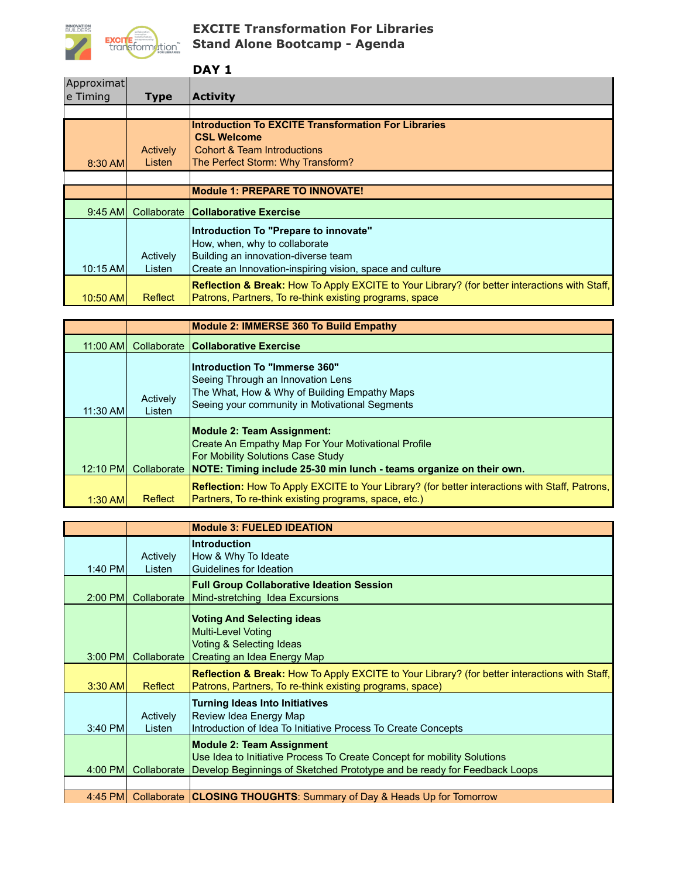

## **EXCITE Transformation For Libraries Stand Alone Bootcamp - Agenda**

|                        |                    | DAY 1                                                                                                                                                                     |
|------------------------|--------------------|---------------------------------------------------------------------------------------------------------------------------------------------------------------------------|
| Approximat<br>e Timing | Type               | <b>Activity</b>                                                                                                                                                           |
|                        |                    |                                                                                                                                                                           |
| 8:30 AM                | Actively<br>Listen | <b>Introduction To EXCITE Transformation For Libraries</b><br><b>CSL Welcome</b><br>Cohort & Team Introductions<br>The Perfect Storm: Why Transform?                      |
|                        |                    |                                                                                                                                                                           |
|                        |                    | <b>Module 1: PREPARE TO INNOVATE!</b>                                                                                                                                     |
| $9:45$ AMI             | Collaborate        | <b>Collaborative Exercise</b>                                                                                                                                             |
| 10:15 AM               | Actively<br>Listen | Introduction To "Prepare to innovate"<br>How, when, why to collaborate<br>Building an innovation-diverse team<br>Create an Innovation-inspiring vision, space and culture |
| 10:50 AM               | Reflect            | Reflection & Break: How To Apply EXCITE to Your Library? (for better interactions with Staff,<br>Patrons, Partners, To re-think existing programs, space                  |

|           |                    | Module 2: IMMERSE 360 To Build Empathy                                                                                                                                                                           |
|-----------|--------------------|------------------------------------------------------------------------------------------------------------------------------------------------------------------------------------------------------------------|
| 11:00 AMI |                    | Collaborate Collaborative Exercise                                                                                                                                                                               |
| 11:30 AM  | Actively<br>Listen | Introduction To "Immerse 360"<br>Seeing Through an Innovation Lens<br>The What, How & Why of Building Empathy Maps<br>Seeing your community in Motivational Segments                                             |
| 12:10 PM  |                    | Module 2: Team Assignment:<br>Create An Empathy Map For Your Motivational Profile<br><b>For Mobility Solutions Case Study</b><br>Collaborate NOTE: Timing include 25-30 min lunch - teams organize on their own. |
| $1:30$ AM | Reflect            | Reflection: How To Apply EXCITE to Your Library? (for better interactions with Staff, Patrons,<br>Partners, To re-think existing programs, space, etc.)                                                          |

|           |                    | <b>Module 3: FUELED IDEATION</b>                                                                                                                                                        |
|-----------|--------------------|-----------------------------------------------------------------------------------------------------------------------------------------------------------------------------------------|
| 1:40 PM   | Actively<br>Listen | <b>Introduction</b><br>How & Why To Ideate<br>Guidelines for Ideation                                                                                                                   |
| $2:00$ PM | Collaborate        | <b>Full Group Collaborative Ideation Session</b><br>Mind-stretching Idea Excursions                                                                                                     |
| $3:00$ PM | Collaborate        | <b>Voting And Selecting ideas</b><br><b>Multi-Level Voting</b><br>Voting & Selecting Ideas<br>Creating an Idea Energy Map                                                               |
| $3:30$ AM | Reflect            | Reflection & Break: How To Apply EXCITE to Your Library? (for better interactions with Staff,<br>Patrons, Partners, To re-think existing programs, space)                               |
| 3:40 PM   | Actively<br>Listen | <b>Turning Ideas Into Initiatives</b><br>Review Idea Energy Map<br>Introduction of Idea To Initiative Process To Create Concepts                                                        |
| 4:00 PM   | Collaborate        | <b>Module 2: Team Assignment</b><br>Use Idea to Initiative Process To Create Concept for mobility Solutions<br>Develop Beginnings of Sketched Prototype and be ready for Feedback Loops |
|           |                    | 4:45 PM Collaborate CLOSING THOUGHTS: Summary of Day & Heads Up for Tomorrow                                                                                                            |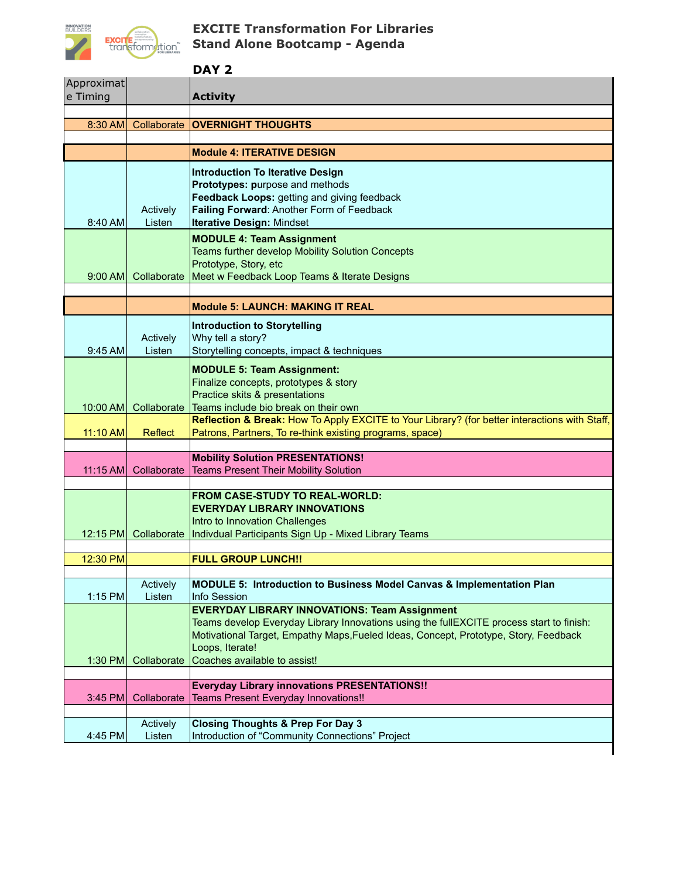

## **EXCITE Transformation For Libraries Stand Alone Bootcamp - Agenda**

## **DAY 2**

| Approximat |                      |                                                                                               |
|------------|----------------------|-----------------------------------------------------------------------------------------------|
| e Timing   |                      | <b>Activity</b>                                                                               |
| 8:30 AM    | Collaborate          | <b>OVERNIGHT THOUGHTS</b>                                                                     |
|            |                      |                                                                                               |
|            |                      | <b>Module 4: ITERATIVE DESIGN</b>                                                             |
|            |                      | <b>Introduction To Iterative Design</b>                                                       |
|            |                      | Prototypes: purpose and methods                                                               |
|            |                      | Feedback Loops: getting and giving feedback                                                   |
|            | Actively             | Failing Forward: Another Form of Feedback                                                     |
| 8:40 AM    | Listen               | <b>Iterative Design: Mindset</b>                                                              |
|            |                      | <b>MODULE 4: Team Assignment</b>                                                              |
|            |                      | Teams further develop Mobility Solution Concepts<br>Prototype, Story, etc                     |
| $9:00$ AM  | Collaborate          | Meet w Feedback Loop Teams & Iterate Designs                                                  |
|            |                      |                                                                                               |
|            |                      | <b>Module 5: LAUNCH: MAKING IT REAL</b>                                                       |
|            |                      | Introduction to Storytelling                                                                  |
|            | Actively             | Why tell a story?                                                                             |
| $9:45$ AM  | Listen               | Storytelling concepts, impact & techniques                                                    |
|            |                      | <b>MODULE 5: Team Assignment:</b>                                                             |
|            |                      | Finalize concepts, prototypes & story                                                         |
|            |                      | Practice skits & presentations                                                                |
| 10:00 AM   | Collaborate          | Teams include bio break on their own                                                          |
|            |                      | Reflection & Break: How To Apply EXCITE to Your Library? (for better interactions with Staff, |
| 11:10 AM   | Reflect              | Patrons, Partners, To re-think existing programs, space)                                      |
|            |                      | <b>Mobility Solution PRESENTATIONS!</b>                                                       |
|            | 11:15 AM Collaborate | <b>Teams Present Their Mobility Solution</b>                                                  |
|            |                      |                                                                                               |
|            |                      | FROM CASE-STUDY TO REAL-WORLD:                                                                |
|            |                      | <b>EVERYDAY LIBRARY INNOVATIONS</b><br>Intro to Innovation Challenges                         |
|            |                      | 12:15 PM Collaborate   Indivdual Participants Sign Up - Mixed Library Teams                   |
|            |                      |                                                                                               |
| 12:30 PM   |                      | <b>FULL GROUP LUNCH!!</b>                                                                     |
|            |                      |                                                                                               |
|            | Actively             | MODULE 5: Introduction to Business Model Canvas & Implementation Plan                         |
| 1:15 PM    | Listen               | Info Session<br><b>EVERYDAY LIBRARY INNOVATIONS: Team Assignment</b>                          |
|            |                      | Teams develop Everyday Library Innovations using the fullEXCITE process start to finish:      |
|            |                      | Motivational Target, Empathy Maps, Fueled Ideas, Concept, Prototype, Story, Feedback          |
|            |                      | Loops, Iterate!                                                                               |
| 1:30 PM    | Collaborate          | Coaches available to assist!                                                                  |
|            |                      |                                                                                               |
| 3:45 PM    | Collaborate          | <b>Everyday Library innovations PRESENTATIONS!!</b><br>Teams Present Everyday Innovations!!   |
|            |                      |                                                                                               |
|            | Actively             | <b>Closing Thoughts &amp; Prep For Day 3</b>                                                  |
| 4:45 PM    | Listen               | Introduction of "Community Connections" Project                                               |
|            |                      |                                                                                               |